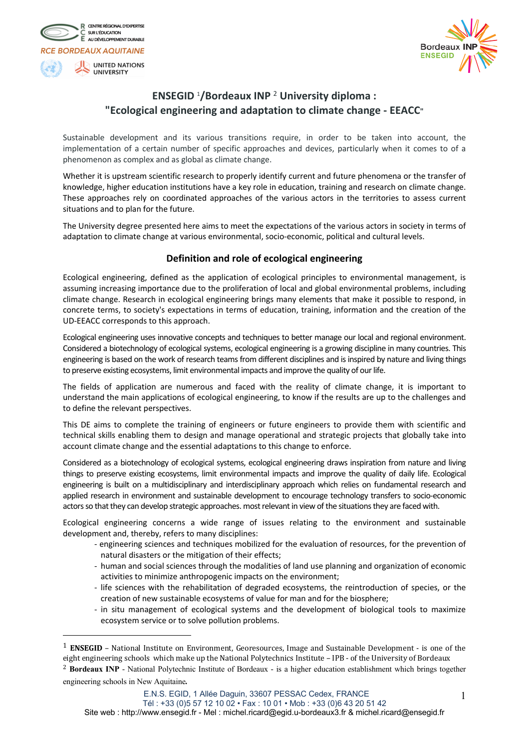



# **ENSEGID** <sup>1</sup> **/Bordeaux INP** <sup>2</sup> **University diploma : "Ecological engineering and adaptation to climate change - EEACC"**

Sustainable development and its various transitions require, in order to be taken into account, the implementation of a certain number of specific approaches and devices, particularly when it comes to of a phenomenon as complex and as global as climate change.

Whether it is upstream scientific research to properly identify current and future phenomena or the transfer of knowledge, higher education institutions have a key role in education, training and research on climate change. These approaches rely on coordinated approaches of the various actors in the territories to assess current situations and to plan for the future.

The University degree presented here aims to meet the expectations of the various actors in society in terms of adaptation to climate change at various environmental, socio-economic, political and cultural levels.

# **Definition and role of ecological engineering**

Ecological engineering, defined as the application of ecological principles to environmental management, is assuming increasing importance due to the proliferation of local and global environmental problems, including climate change. Research in ecological engineering brings many elements that make it possible to respond, in concrete terms, to society's expectations in terms of education, training, information and the creation of the UD-EEACC corresponds to this approach.

Ecological engineering uses innovative concepts and techniques to better manage our local and regional environment. Considered a biotechnology of ecological systems, ecological engineering is a growing discipline in many countries. This engineering is based on the work of research teams from different disciplines and is inspired by nature and living things to preserve existing ecosystems, limit environmental impacts and improve the quality of our life.

The fields of application are numerous and faced with the reality of climate change, it is important to understand the main applications of ecological engineering, to know if the results are up to the challenges and to define the relevant perspectives.

This DE aims to complete the training of engineers or future engineers to provide them with scientific and technical skills enabling them to design and manage operational and strategic projects that globally take into account climate change and the essential adaptations to this change to enforce.

Considered as a biotechnology of ecological systems, ecological engineering draws inspiration from nature and living things to preserve existing ecosystems, limit environmental impacts and improve the quality of daily life. Ecological engineering is built on a multidisciplinary and interdisciplinary approach which relies on fundamental research and applied research in environment and sustainable development to encourage technology transfers to socio-economic actors so that they can develop strategic approaches. most relevant in view of the situations they are faced with.

Ecological engineering concerns a wide range of issues relating to the environment and sustainable development and, thereby, refers to many disciplines:

- engineering sciences and techniques mobilized for the evaluation of resources, for the prevention of natural disasters or the mitigation of their effects;
- human and social sciences through the modalities of land use planning and organization of economic activities to minimize anthropogenic impacts on the environment;
- life sciences with the rehabilitation of degraded ecosystems, the reintroduction of species, or the creation of new sustainable ecosystems of value for man and for the biosphere;
- in situ management of ecological systems and the development of biological tools to maximize ecosystem service or to solve pollution problems.

 $1$  **ENSEGID** – National Institute on Environment, Georesources, Image and Sustainable Development - is one of the eight engineering schools which make up the National Polytechnics Institute - IPB - of the University of Bordeaux

<sup>2</sup> **Bordeaux INP** - National Polytechnic Institute of Bordeaux - is a higher education establishment which brings together engineering schools in New Aquitaine.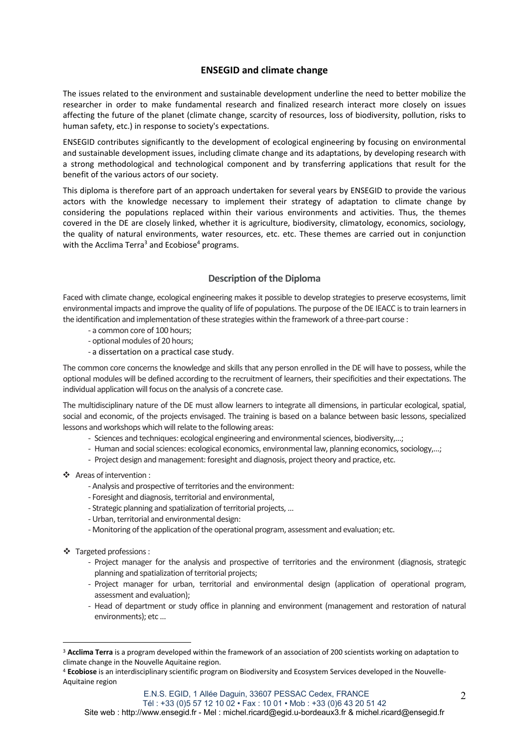# **ENSEGID and climate change**

The issues related to the environment and sustainable development underline the need to better mobilize the researcher in order to make fundamental research and finalized research interact more closely on issues affecting the future of the planet (climate change, scarcity of resources, loss of biodiversity, pollution, risks to human safety, etc.) in response to society's expectations.

ENSEGID contributes significantly to the development of ecological engineering by focusing on environmental and sustainable development issues, including climate change and its adaptations, by developing research with a strong methodological and technological component and by transferring applications that result for the benefit of the various actors of our society.

This diploma is therefore part of an approach undertaken for several years by ENSEGID to provide the various actors with the knowledge necessary to implement their strategy of adaptation to climate change by considering the populations replaced within their various environments and activities. Thus, the themes covered in the DE are closely linked, whether it is agriculture, biodiversity, climatology, economics, sociology, the quality of natural environments, water resources, etc. etc. These themes are carried out in conjunction with the Acclima Terra<sup>3</sup> and Ecobiose<sup>4</sup> programs.

# **Description of the Diploma**

Faced with climate change, ecological engineering makes it possible to develop strategies to preserve ecosystems, limit environmental impacts and improve the quality of life of populations. The purpose of the DE IEACC is to train learners in the identification and implementation of these strategies within the framework of a three-part course :

- a common core of 100 hours;
- optional modules of 20 hours;
- a dissertation on a practical case study.

The common core concerns the knowledge and skills that any person enrolled in the DE will have to possess, while the optional modules will be defined according to the recruitment of learners, their specificities and their expectations. The individual application will focus on the analysis of a concrete case.

The multidisciplinary nature of the DE must allow learners to integrate all dimensions, in particular ecological, spatial, social and economic, of the projects envisaged. The training is based on a balance between basic lessons, specialized lessons and workshops which will relate to the following areas:

- Sciences and techniques: ecological engineering and environmental sciences, biodiversity,…;
- Human and social sciences: ecological economics, environmental law, planning economics, sociology,…;
- Project design and management: foresight and diagnosis, project theory and practice, etc.
- \* Areas of intervention :
	- Analysis and prospective of territories and the environment:
	- Foresight and diagnosis, territorial and environmental,
	- Strategic planning and spatialization of territorial projects, ...
	- Urban, territorial and environmental design:
	- Monitoring of the application of the operational program, assessment and evaluation; etc.
- \* Targeted professions :
	- Project manager for the analysis and prospective of territories and the environment (diagnosis, strategic planning and spatialization of territorial projects;
	- Project manager for urban, territorial and environmental design (application of operational program, assessment and evaluation);
	- Head of department or study office in planning and environment (management and restoration of natural environments); etc ...

<sup>3</sup> **Acclima Terra** is a program developed within the framework of an association of 200 scientists working on adaptation to climate change in the Nouvelle Aquitaine region.

<sup>4</sup> **Ecobiose** is an interdisciplinary scientific program on Biodiversity and Ecosystem Services developed in the Nouvelle-Aquitaine region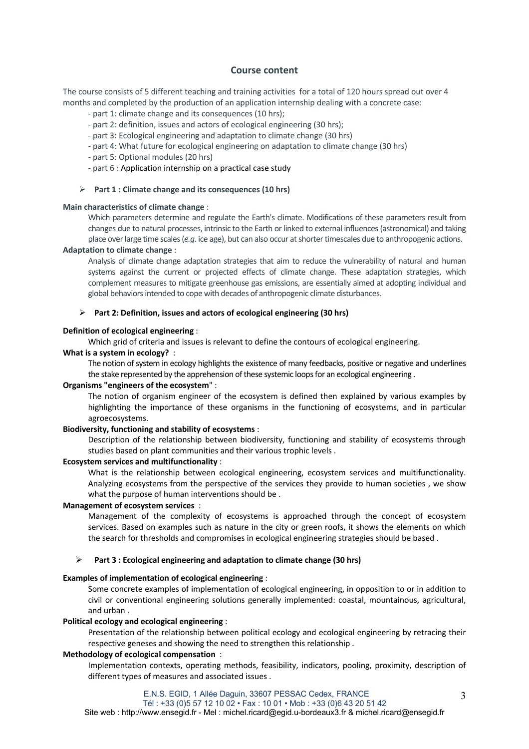## **Course content**

The course consists of 5 different teaching and training activities for a total of 120 hours spread out over 4 months and completed by the production of an application internship dealing with a concrete case:

- part 1: climate change and its consequences (10 hrs);
- part 2: definition, issues and actors of ecological engineering (30 hrs);
- part 3: Ecological engineering and adaptation to climate change (30 hrs)
- part 4: What future for ecological engineering on adaptation to climate change (30 hrs)
- part 5: Optional modules (20 hrs)
- part 6 : Application internship on a practical case study

## Ø **Part 1 : Climate change and its consequences (10 hrs)**

#### **Main characteristics of climate change** :

Which parameters determine and regulate the Earth's climate. Modifications of these parameters result from changes due to natural processes, intrinsic to the Earth or linked to external influences (astronomical) and taking place over large time scales (*e.g*. ice age), but can also occur at shorter timescales due to anthropogenic actions.

# **Adaptation to climate change** :

Analysis of climate change adaptation strategies that aim to reduce the vulnerability of natural and human systems against the current or projected effects of climate change. These adaptation strategies, which complement measures to mitigate greenhouse gas emissions, are essentially aimed at adopting individual and global behaviors intended to cope with decades of anthropogenic climate disturbances.

#### Ø **Part 2: Definition, issues and actors of ecological engineering (30 hrs)**

#### **Definition of ecological engineering** :

Which grid of criteria and issues is relevant to define the contours of ecological engineering.

# **What is a system in ecology?** :

The notion of system in ecology highlights the existence of many feedbacks, positive or negative and underlines the stake represented by the apprehension of these systemic loops for an ecological engineering .

## **Organisms "engineers of the ecosystem**" :

The notion of organism engineer of the ecosystem is defined then explained by various examples by highlighting the importance of these organisms in the functioning of ecosystems, and in particular agroecosystems.

#### **Biodiversity, functioning and stability of ecosystems** :

Description of the relationship between biodiversity, functioning and stability of ecosystems through studies based on plant communities and their various trophic levels .

# **Ecosystem services and multifunctionality** :

What is the relationship between ecological engineering, ecosystem services and multifunctionality. Analyzing ecosystems from the perspective of the services they provide to human societies , we show what the purpose of human interventions should be .

#### **Management of ecosystem services** :

Management of the complexity of ecosystems is approached through the concept of ecosystem services. Based on examples such as nature in the city or green roofs, it shows the elements on which the search for thresholds and compromises in ecological engineering strategies should be based .

#### Ø **Part 3 : Ecological engineering and adaptation to climate change (30 hrs)**

### **Examples of implementation of ecological engineering** :

Some concrete examples of implementation of ecological engineering, in opposition to or in addition to civil or conventional engineering solutions generally implemented: coastal, mountainous, agricultural, and urban .

#### **Political ecology and ecological engineering** :

Presentation of the relationship between political ecology and ecological engineering by retracing their respective geneses and showing the need to strengthen this relationship .

#### **Methodology of ecological compensation** :

Implementation contexts, operating methods, feasibility, indicators, pooling, proximity, description of different types of measures and associated issues .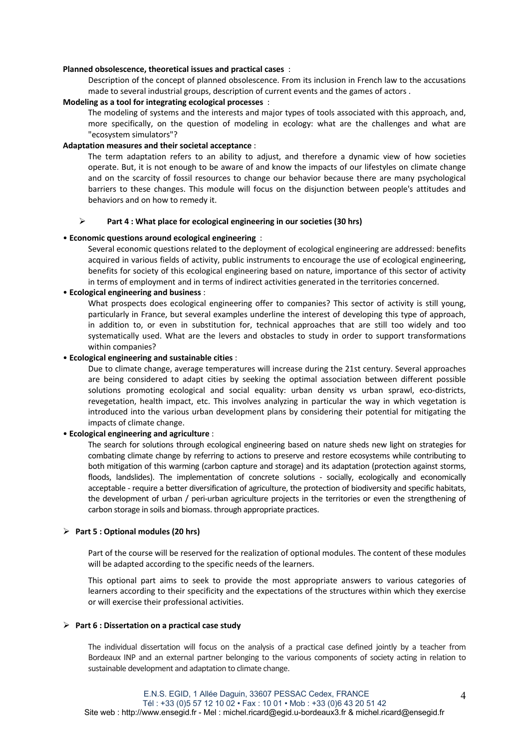#### **Planned obsolescence, theoretical issues and practical cases** :

Description of the concept of planned obsolescence. From its inclusion in French law to the accusations made to several industrial groups, description of current events and the games of actors .

#### **Modeling as a tool for integrating ecological processes** :

The modeling of systems and the interests and major types of tools associated with this approach, and, more specifically, on the question of modeling in ecology: what are the challenges and what are "ecosystem simulators"?

# **Adaptation measures and their societal acceptance** :

The term adaptation refers to an ability to adjust, and therefore a dynamic view of how societies operate. But, it is not enough to be aware of and know the impacts of our lifestyles on climate change and on the scarcity of fossil resources to change our behavior because there are many psychological barriers to these changes. This module will focus on the disjunction between people's attitudes and behaviors and on how to remedy it.

#### Ø **Part 4 : What place for ecological engineering in our societies (30 hrs)**

## • **Economic questions around ecological engineering** :

Several economic questions related to the deployment of ecological engineering are addressed: benefits acquired in various fields of activity, public instruments to encourage the use of ecological engineering, benefits for society of this ecological engineering based on nature, importance of this sector of activity in terms of employment and in terms of indirect activities generated in the territories concerned.

#### • **Ecological engineering and business** :

What prospects does ecological engineering offer to companies? This sector of activity is still young, particularly in France, but several examples underline the interest of developing this type of approach, in addition to, or even in substitution for, technical approaches that are still too widely and too systematically used. What are the levers and obstacles to study in order to support transformations within companies?

#### • **Ecological engineering and sustainable cities** :

Due to climate change, average temperatures will increase during the 21st century. Several approaches are being considered to adapt cities by seeking the optimal association between different possible solutions promoting ecological and social equality: urban density vs urban sprawl, eco-districts, revegetation, health impact, etc. This involves analyzing in particular the way in which vegetation is introduced into the various urban development plans by considering their potential for mitigating the impacts of climate change.

#### • **Ecological engineering and agriculture** :

The search for solutions through ecological engineering based on nature sheds new light on strategies for combating climate change by referring to actions to preserve and restore ecosystems while contributing to both mitigation of this warming (carbon capture and storage) and its adaptation (protection against storms, floods, landslides). The implementation of concrete solutions - socially, ecologically and economically acceptable - require a better diversification of agriculture, the protection of biodiversity and specific habitats, the development of urban / peri-urban agriculture projects in the territories or even the strengthening of carbon storage in soils and biomass. through appropriate practices.

#### Ø **Part 5 : Optional modules (20 hrs)**

Part of the course will be reserved for the realization of optional modules. The content of these modules will be adapted according to the specific needs of the learners.

This optional part aims to seek to provide the most appropriate answers to various categories of learners according to their specificity and the expectations of the structures within which they exercise or will exercise their professional activities.

#### Ø **Part 6 : Dissertation on a practical case study**

The individual dissertation will focus on the analysis of a practical case defined jointly by a teacher from Bordeaux INP and an external partner belonging to the various components of society acting in relation to sustainable development and adaptation to climate change.